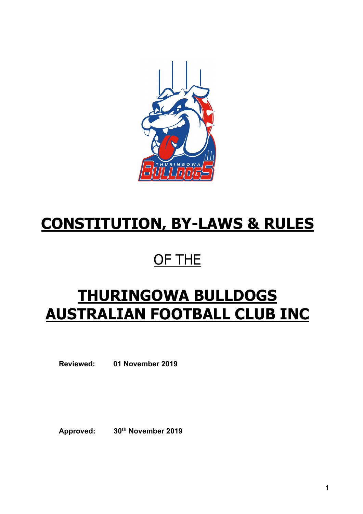

# **CONSTITUTION, BY-LAWS & RULES**

# OF THE

# **THURINGOWA BULLDOGS AUSTRALIAN FOOTBALL CLUB INC**

**Reviewed: 01 November 2019**

**Approved: 30th November 2019**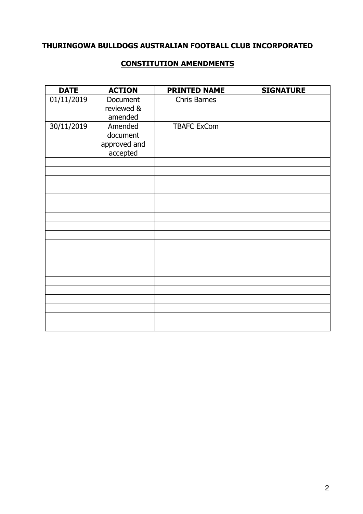# **THURINGOWA BULLDOGS AUSTRALIAN FOOTBALL CLUB INCORPORATED**

#### **CONSTITUTION AMENDMENTS**

| <b>DATE</b> | <b>ACTION</b>                                   | <b>PRINTED NAME</b> | <b>SIGNATURE</b> |
|-------------|-------------------------------------------------|---------------------|------------------|
| 01/11/2019  | Document<br>reviewed &<br>amended               | Chris Barnes        |                  |
| 30/11/2019  | Amended<br>document<br>approved and<br>accepted | <b>TBAFC ExCom</b>  |                  |
|             |                                                 |                     |                  |
|             |                                                 |                     |                  |
|             |                                                 |                     |                  |
|             |                                                 |                     |                  |
|             |                                                 |                     |                  |
|             |                                                 |                     |                  |
|             |                                                 |                     |                  |
|             |                                                 |                     |                  |
|             |                                                 |                     |                  |
|             |                                                 |                     |                  |
|             |                                                 |                     |                  |
|             |                                                 |                     |                  |
|             |                                                 |                     |                  |
|             |                                                 |                     |                  |
|             |                                                 |                     |                  |
|             |                                                 |                     |                  |
|             |                                                 |                     |                  |
|             |                                                 |                     |                  |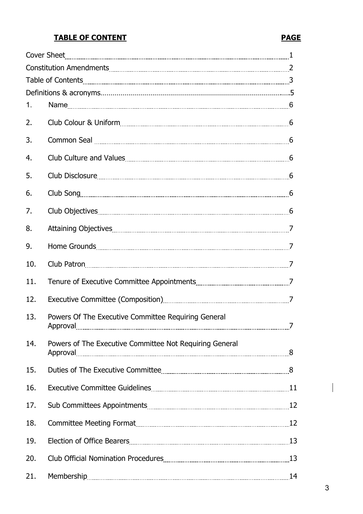# **TABLE OF CONTENT PAGE**

# Cover Sheet 1 Constitution Amendments 2 Table of Contents 3 Definitions & acronyms……………………………………………………………………………….….5 1. Name 6 2. Club Colour & Uniform 6 3. Common Seal 6 4. Club Culture and Values 6 5. Club Disclosure 6 6. Club Song 6 7. Club Objectives 6 8. Attaining Objectives 7 9. Home Grounds 7 10. Club Patron 7 11. Tenure of Executive Committee Appointments 7 12. Executive Committee (Composition) 7 13. Powers Of The Executive Committee Requiring General Approval 7 14. Powers of The Executive Committee Not Requiring General Approval 8 15. Duties of The Executive Committee 8 16. Executive Committee Guidelines 11 and 11 and 11 and 11 and 11 and 11 and 11 and 11 and 11 and 11 and 11 and 11 and 11 and 11 and 11 and 11 and 11 and 11 and 11 and 11 and 11 and 12 and 12 and 12 and 12 and 12 and 12 an 17. Sub Committees Appointments 12 18. Committee Meeting Format 12 and 12 and 12 and 12 and 12 and 12 and 12 and 12 and 12 and 12 and 12 and 12 and 12 and 12 and 12 and 12 and 12 and 12 and 12 and 12 and 12 and 12 and 12 and 12 and 12 and 12 and 12 and 12 a 19. Election of Office Bearers 13 20. Club Official Nomination Procedures 20. Club Official Nomination Procedures 20. 21. Membership 14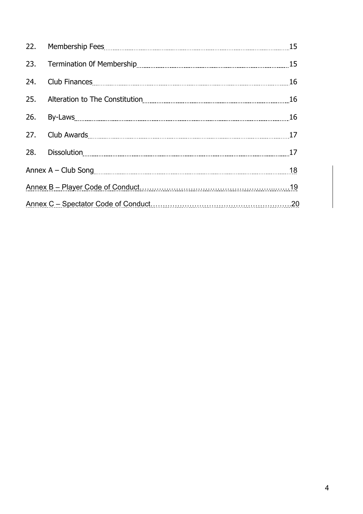| 23. |                                                                                                                                                                                                                                |  |  |
|-----|--------------------------------------------------------------------------------------------------------------------------------------------------------------------------------------------------------------------------------|--|--|
| 24. |                                                                                                                                                                                                                                |  |  |
| 25. |                                                                                                                                                                                                                                |  |  |
|     | 26. By-Laws 26. The Commission of the Commission of the Commission of the Commission of the Commission of the Commission of the Commission of the Commission of the Commission of the Commission of the Commission of the Comm |  |  |
|     |                                                                                                                                                                                                                                |  |  |
|     |                                                                                                                                                                                                                                |  |  |
|     |                                                                                                                                                                                                                                |  |  |
|     |                                                                                                                                                                                                                                |  |  |
|     |                                                                                                                                                                                                                                |  |  |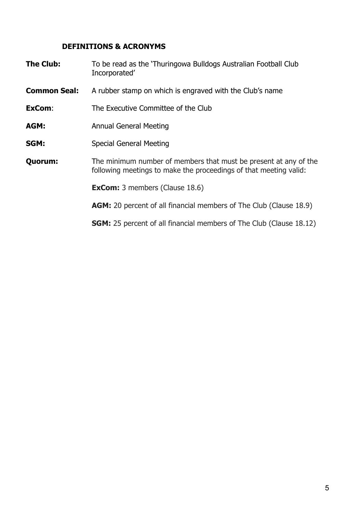# **DEFINITIONS & ACRONYMS**

| <b>The Club:</b>    | To be read as the 'Thuringowa Bulldogs Australian Football Club<br>Incorporated'                                                      |  |
|---------------------|---------------------------------------------------------------------------------------------------------------------------------------|--|
| <b>Common Seal:</b> | A rubber stamp on which is engraved with the Club's name                                                                              |  |
| ExCom:              | The Executive Committee of the Club                                                                                                   |  |
| AGM:                | <b>Annual General Meeting</b>                                                                                                         |  |
| SGM:                | <b>Special General Meeting</b>                                                                                                        |  |
| Quorum:             | The minimum number of members that must be present at any of the<br>following meetings to make the proceedings of that meeting valid: |  |
|                     | <b>ExCom:</b> 3 members (Clause 18.6)                                                                                                 |  |
|                     | <b>AGM:</b> 20 percent of all financial members of The Club (Clause 18.9)                                                             |  |
|                     | <b>SGM:</b> 25 percent of all financial members of The Club (Clause 18.12)                                                            |  |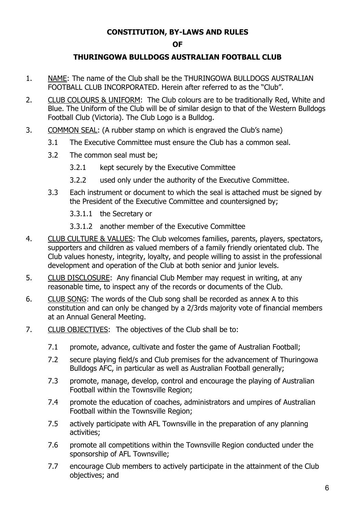### **CONSTITUTION, BY-LAWS AND RULES**

#### **OF**

### **THURINGOWA BULLDOGS AUSTRALIAN FOOTBALL CLUB**

- 1. NAME: The name of the Club shall be the THURINGOWA BULLDOGS AUSTRALIAN FOOTBALL CLUB INCORPORATED. Herein after referred to as the "Club".
- 2. CLUB COLOURS & UNIFORM: The Club colours are to be traditionally Red, White and Blue. The Uniform of the Club will be of similar design to that of the Western Bulldogs Football Club (Victoria). The Club Logo is a Bulldog.
- 3. COMMON SEAL: (A rubber stamp on which is engraved the Club's name)
	- 3.1 The Executive Committee must ensure the Club has a common seal.
	- 3.2 The common seal must be;
		- 3.2.1 kept securely by the Executive Committee
		- 3.2.2 used only under the authority of the Executive Committee.
	- 3.3 Each instrument or document to which the seal is attached must be signed by the President of the Executive Committee and countersigned by;
		- 3.3.1.1 the Secretary or
		- 3.3.1.2 another member of the Executive Committee
- 4. CLUB CULTURE & VALUES: The Club welcomes families, parents, players, spectators, supporters and children as valued members of a family friendly orientated club. The Club values honesty, integrity, loyalty, and people willing to assist in the professional development and operation of the Club at both senior and junior levels.
- 5. CLUB DISCLOSURE: Any financial Club Member may request in writing, at any reasonable time, to inspect any of the records or documents of the Club.
- 6. CLUB SONG: The words of the Club song shall be recorded as annex A to this constitution and can only be changed by a 2/3rds majority vote of financial members at an Annual General Meeting.
- 7. CLUB OBJECTIVES: The objectives of the Club shall be to:
	- 7.1 promote, advance, cultivate and foster the game of Australian Football;
	- 7.2 secure playing field/s and Club premises for the advancement of Thuringowa Bulldogs AFC, in particular as well as Australian Football generally;
	- 7.3 promote, manage, develop, control and encourage the playing of Australian Football within the Townsville Region;
	- 7.4 promote the education of coaches, administrators and umpires of Australian Football within the Townsville Region;
	- 7.5 actively participate with AFL Townsville in the preparation of any planning activities;
	- 7.6 promote all competitions within the Townsville Region conducted under the sponsorship of AFL Townsville;
	- 7.7 encourage Club members to actively participate in the attainment of the Club objectives; and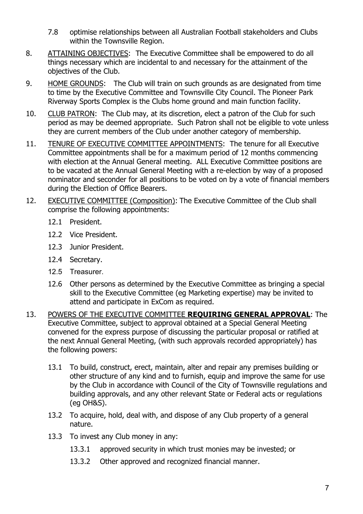- 7.8 optimise relationships between all Australian Football stakeholders and Clubs within the Townsville Region.
- 8. ATTAINING OBJECTIVES: The Executive Committee shall be empowered to do all things necessary which are incidental to and necessary for the attainment of the objectives of the Club.
- 9. HOME GROUNDS: The Club will train on such grounds as are designated from time to time by the Executive Committee and Townsville City Council. The Pioneer Park Riverway Sports Complex is the Clubs home ground and main function facility.
- 10. CLUB PATRON: The Club may, at its discretion, elect a patron of the Club for such period as may be deemed appropriate. Such Patron shall not be eligible to vote unless they are current members of the Club under another category of membership.
- 11. TENURE OF EXECUTIVE COMMITTEE APPOINTMENTS: The tenure for all Executive Committee appointments shall be for a maximum period of 12 months commencing with election at the Annual General meeting. ALL Executive Committee positions are to be vacated at the Annual General Meeting with a re-election by way of a proposed nominator and seconder for all positions to be voted on by a vote of financial members during the Election of Office Bearers.
- 12. EXECUTIVE COMMITTEE (Composition): The Executive Committee of the Club shall comprise the following appointments:
	- 12.1 President.
	- 12.2 Vice President.
	- 12.3 Junior President.
	- 12.4 Secretary.
	- 12.5 Treasurer.
	- 12.6 Other persons as determined by the Executive Committee as bringing a special skill to the Executive Committee (eg Marketing expertise) may be invited to attend and participate in ExCom as required.
- 13. POWERS OF THE EXECUTIVE COMMITTEE **REQUIRING GENERAL APPROVAL**: The Executive Committee, subject to approval obtained at a Special General Meeting convened for the express purpose of discussing the particular proposal or ratified at the next Annual General Meeting, (with such approvals recorded appropriately) has the following powers:
	- 13.1 To build, construct, erect, maintain, alter and repair any premises building or other structure of any kind and to furnish, equip and improve the same for use by the Club in accordance with Council of the City of Townsville regulations and building approvals, and any other relevant State or Federal acts or regulations (eg OH&S).
	- 13.2 To acquire, hold, deal with, and dispose of any Club property of a general nature.
	- 13.3 To invest any Club money in any:
		- 13.3.1 approved security in which trust monies may be invested; or
		- 13.3.2 Other approved and recognized financial manner.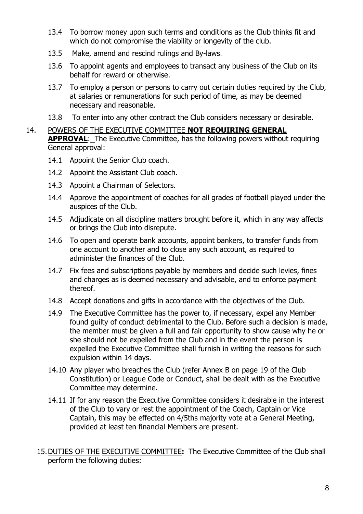- 13.4 To borrow money upon such terms and conditions as the Club thinks fit and which do not compromise the viability or longevity of the club.
- 13.5 Make, amend and rescind rulings and By-laws.
- 13.6 To appoint agents and employees to transact any business of the Club on its behalf for reward or otherwise.
- 13.7 To employ a person or persons to carry out certain duties required by the Club, at salaries or remunerations for such period of time, as may be deemed necessary and reasonable.
- 13.8 To enter into any other contract the Club considers necessary or desirable.

#### 14. POWERS OF THE EXECUTIVE COMMITTEE **NOT REQUIRING GENERAL**

**APPROVAL:** The Executive Committee, has the following powers without requiring General approval:

- 14.1 Appoint the Senior Club coach.
- 14.2 Appoint the Assistant Club coach.
- 14.3 Appoint a Chairman of Selectors.
- 14.4 Approve the appointment of coaches for all grades of football played under the auspices of the Club.
- 14.5 Adjudicate on all discipline matters brought before it, which in any way affects or brings the Club into disrepute.
- 14.6 To open and operate bank accounts, appoint bankers, to transfer funds from one account to another and to close any such account, as required to administer the finances of the Club.
- 14.7 Fix fees and subscriptions payable by members and decide such levies, fines and charges as is deemed necessary and advisable, and to enforce payment thereof.
- 14.8 Accept donations and gifts in accordance with the objectives of the Club.
- 14.9 The Executive Committee has the power to, if necessary, expel any Member found guilty of conduct detrimental to the Club. Before such a decision is made, the member must be given a full and fair opportunity to show cause why he or she should not be expelled from the Club and in the event the person is expelled the Executive Committee shall furnish in writing the reasons for such expulsion within 14 days.
- 14.10 Any player who breaches the Club (refer Annex B on page 19 of the Club Constitution) or League Code or Conduct, shall be dealt with as the Executive Committee may determine.
- 14.11 If for any reason the Executive Committee considers it desirable in the interest of the Club to vary or rest the appointment of the Coach, Captain or Vice Captain, this may be effected on 4/5ths majority vote at a General Meeting, provided at least ten financial Members are present.
- 15.DUTIES OF THE EXECUTIVE COMMITTEE**:** The Executive Committee of the Club shall perform the following duties: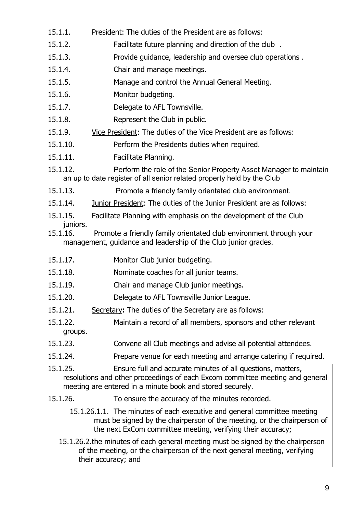- 15.1.1. President: The duties of the President are as follows:
- 15.1.2. Facilitate future planning and direction of the club .
- 15.1.3. Provide guidance, leadership and oversee club operations .
- 15.1.4. Chair and manage meetings.
- 15.1.5. Manage and control the Annual General Meeting.
- 15.1.6. Monitor budgeting.
- 15.1.7. Delegate to AFL Townsville.
- 15.1.8. Represent the Club in public.
- 15.1.9. Vice President: The duties of the Vice President are as follows:
- 15.1.10. Perform the Presidents duties when required.
- 15.1.11. Facilitate Planning.
- 15.1.12. Perform the role of the Senior Property Asset Manager to maintain an up to date register of all senior related property held by the Club
- 15.1.13. Promote a friendly family orientated club environment.
- 15.1.14. Junior President: The duties of the Junior President are as follows:
- 15.1.15. Facilitate Planning with emphasis on the development of the Club juniors.<br>15.1.16.
- Promote a friendly family orientated club environment through your management, guidance and leadership of the Club junior grades.
- 15.1.17. Monitor Club junior budgeting.
- 15.1.18. Nominate coaches for all junior teams.
- 15.1.19. Chair and manage Club junior meetings.
- 15.1.20. Delegate to AFL Townsville Junior League.
- 15.1.21. Secretary**:** The duties of the Secretary are as follows:
- 15.1.22. Maintain a record of all members, sponsors and other relevant groups.
- 15.1.23. Convene all Club meetings and advise all potential attendees.
- 15.1.24. Prepare venue for each meeting and arrange catering if required.
- 15.1.25. Ensure full and accurate minutes of all questions, matters, resolutions and other proceedings of each Excom committee meeting and general meeting are entered in a minute book and stored securely.
- 15.1.26. To ensure the accuracy of the minutes recorded.
	- 15.1.26.1.1. The minutes of each executive and general committee meeting must be signed by the chairperson of the meeting, or the chairperson of the next ExCom committee meeting, verifying their accuracy;
	- 15.1.26.2.the minutes of each general meeting must be signed by the chairperson of the meeting, or the chairperson of the next general meeting, verifying their accuracy; and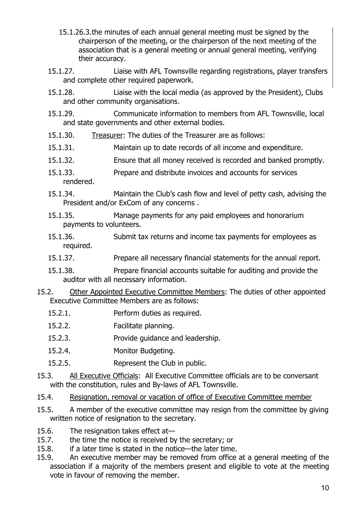- 15.1.26.3.the minutes of each annual general meeting must be signed by the chairperson of the meeting, or the chairperson of the next meeting of the association that is a general meeting or annual general meeting, verifying their accuracy.
- 15.1.27. Liaise with AFL Townsville regarding registrations, player transfers and complete other required paperwork.
- 15.1.28. Liaise with the local media (as approved by the President), Clubs and other community organisations.
- 15.1.29. Communicate information to members from AFL Townsville, local and state governments and other external bodies.
- 15.1.30. Treasurer: The duties of the Treasurer are as follows:
- 15.1.31. Maintain up to date records of all income and expenditure.
- 15.1.32. Ensure that all money received is recorded and banked promptly.
- 15.1.33. Prepare and distribute invoices and accounts for services rendered.
- 15.1.34. Maintain the Club's cash flow and level of petty cash, advising the President and/or ExCom of any concerns .
- 15.1.35. Manage payments for any paid employees and honorarium payments to volunteers.
- 15.1.36. Submit tax returns and income tax payments for employees as required.
- 15.1.37. Prepare all necessary financial statements for the annual report.
- 15.1.38. Prepare financial accounts suitable for auditing and provide the auditor with all necessary information.
- 15.2. Other Appointed Executive Committee Members: The duties of other appointed Executive Committee Members are as follows:
	- 15.2.1. Perform duties as required.
	- 15.2.2. Facilitate planning.
	- 15.2.3. Provide guidance and leadership.
	- 15.2.4. Monitor Budgeting.
	- 15.2.5. Represent the Club in public.
- 15.3. All Executive Officials: All Executive Committee officials are to be conversant with the constitution, rules and By-laws of AFL Townsville.
- 15.4. Resignation, removal or vacation of office of Executive Committee member
- 15.5. A member of the executive committee may resign from the committee by giving written notice of resignation to the secretary.
- 15.6. The resignation takes effect at-<br>15.7. the time the notice is received by
- the time the notice is received by the secretary; or
- 15.8. if a later time is stated in the notice—the later time.
- 15.9. An executive member may be removed from office at a general meeting of the association if a majority of the members present and eligible to vote at the meeting vote in favour of removing the member.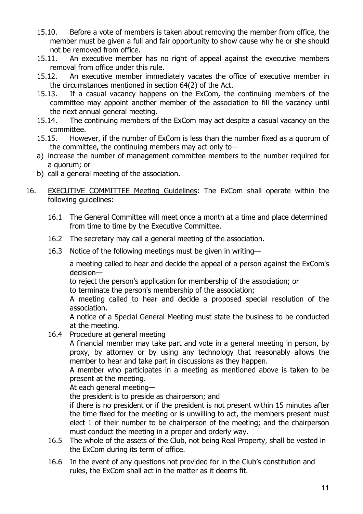- 15.10. Before a vote of members is taken about removing the member from office, the member must be given a full and fair opportunity to show cause why he or she should not be removed from office.<br>15.11. An executive member
- An executive member has no right of appeal against the executive members removal from office under this rule.
- 15.12. An executive member immediately vacates the office of executive member in the circumstances mentioned in section 64(2) of the Act.
- 15.13. If a casual vacancy happens on the ExCom, the continuing members of the committee may appoint another member of the association to fill the vacancy until the next annual general meeting.<br>15.14. The continuing members of
- The continuing members of the ExCom may act despite a casual vacancy on the committee.
- 15.15. However, if the number of ExCom is less than the number fixed as a quorum of the committee, the continuing members may act only to—
- a) increase the number of management committee members to the number required for a quorum; or
- b) call a general meeting of the association.
- 16. EXECUTIVE COMMITTEE Meeting Guidelines: The ExCom shall operate within the following guidelines:
	- 16.1 The General Committee will meet once a month at a time and place determined from time to time by the Executive Committee.
	- 16.2 The secretary may call a general meeting of the association.
	- 16.3 Notice of the following meetings must be given in writing—

a meeting called to hear and decide the appeal of a person against the ExCom's decision—

to reject the person's application for membership of the association; or

to terminate the person's membership of the association;

A meeting called to hear and decide a proposed special resolution of the association.

A notice of a Special General Meeting must state the business to be conducted at the meeting.

16.4 Procedure at general meeting

A financial member may take part and vote in a general meeting in person, by proxy, by attorney or by using any technology that reasonably allows the member to hear and take part in discussions as they happen.

A member who participates in a meeting as mentioned above is taken to be present at the meeting.

At each general meeting—

the president is to preside as chairperson; and

if there is no president or if the president is not present within 15 minutes after the time fixed for the meeting or is unwilling to act, the members present must elect 1 of their number to be chairperson of the meeting; and the chairperson must conduct the meeting in a proper and orderly way.

- 16.5 The whole of the assets of the Club, not being Real Property, shall be vested in the ExCom during its term of office.
- 16.6 In the event of any questions not provided for in the Club's constitution and rules, the ExCom shall act in the matter as it deems fit.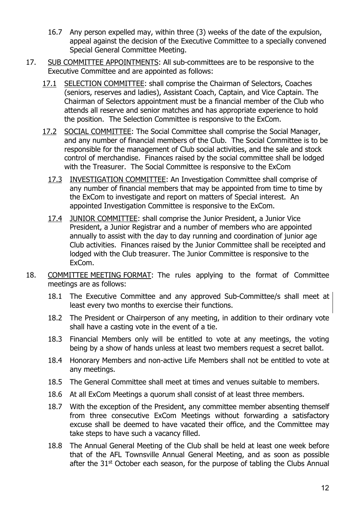- 16.7 Any person expelled may, within three (3) weeks of the date of the expulsion, appeal against the decision of the Executive Committee to a specially convened Special General Committee Meeting.
- 17. SUB COMMITTEE APPOINTMENTS: All sub-committees are to be responsive to the Executive Committee and are appointed as follows:
	- 17.1 SELECTION COMMITTEE: shall comprise the Chairman of Selectors, Coaches (seniors, reserves and ladies), Assistant Coach, Captain, and Vice Captain. The Chairman of Selectors appointment must be a financial member of the Club who attends all reserve and senior matches and has appropriate experience to hold the position. The Selection Committee is responsive to the ExCom.
	- 17.2 SOCIAL COMMITTEE: The Social Committee shall comprise the Social Manager, and any number of financial members of the Club. The Social Committee is to be responsible for the management of Club social activities, and the sale and stock control of merchandise. Finances raised by the social committee shall be lodged with the Treasurer. The Social Committee is responsive to the ExCom
		- 17.3 INVESTIGATION COMMITTEE: An Investigation Committee shall comprise of any number of financial members that may be appointed from time to time by the ExCom to investigate and report on matters of Special interest. An appointed Investigation Committee is responsive to the ExCom.
		- 17.4 JUNIOR COMMITTEE: shall comprise the Junior President, a Junior Vice President, a Junior Registrar and a number of members who are appointed annually to assist with the day to day running and coordination of junior age Club activities. Finances raised by the Junior Committee shall be receipted and lodged with the Club treasurer. The Junior Committee is responsive to the ExCom.
- 18. COMMITTEE MEETING FORMAT: The rules applying to the format of Committee meetings are as follows:
	- 18.1 The Executive Committee and any approved Sub-Committee/s shall meet at least every two months to exercise their functions.
	- 18.2 The President or Chairperson of any meeting, in addition to their ordinary vote shall have a casting vote in the event of a tie.
	- 18.3 Financial Members only will be entitled to vote at any meetings, the voting being by a show of hands unless at least two members request a secret ballot.
	- 18.4 Honorary Members and non-active Life Members shall not be entitled to vote at any meetings.
	- 18.5 The General Committee shall meet at times and venues suitable to members.
	- 18.6 At all ExCom Meetings a quorum shall consist of at least three members.
	- 18.7 With the exception of the President, any committee member absenting themself from three consecutive ExCom Meetings without forwarding a satisfactory excuse shall be deemed to have vacated their office, and the Committee may take steps to have such a vacancy filled.
	- 18.8 The Annual General Meeting of the Club shall be held at least one week before that of the AFL Townsville Annual General Meeting, and as soon as possible after the  $31<sup>st</sup>$  October each season, for the purpose of tabling the Clubs Annual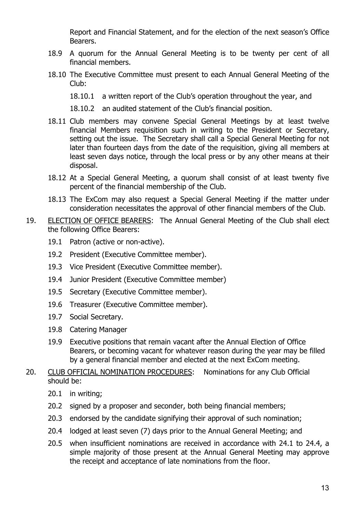Report and Financial Statement, and for the election of the next season's Office Bearers.

- 18.9 A quorum for the Annual General Meeting is to be twenty per cent of all financial members.
- 18.10 The Executive Committee must present to each Annual General Meeting of the Club:

18.10.1 a written report of the Club's operation throughout the year, and

18.10.2 an audited statement of the Club's financial position.

- 18.11 Club members may convene Special General Meetings by at least twelve financial Members requisition such in writing to the President or Secretary, setting out the issue. The Secretary shall call a Special General Meeting for not later than fourteen days from the date of the requisition, giving all members at least seven days notice, through the local press or by any other means at their disposal.
- 18.12 At a Special General Meeting, a quorum shall consist of at least twenty five percent of the financial membership of the Club.
- 18.13 The ExCom may also request a Special General Meeting if the matter under consideration necessitates the approval of other financial members of the Club.
- 19. ELECTION OF OFFICE BEARERS: The Annual General Meeting of the Club shall elect the following Office Bearers:
	- 19.1 Patron (active or non-active).
	- 19.2 President (Executive Committee member).
	- 19.3 Vice President (Executive Committee member).
	- 19.4 Junior President (Executive Committee member)
	- 19.5 Secretary (Executive Committee member).
	- 19.6 Treasurer (Executive Committee member).
	- 19.7 Social Secretary.
	- 19.8 Catering Manager
	- 19.9 Executive positions that remain vacant after the Annual Election of Office Bearers, or becoming vacant for whatever reason during the year may be filled by a general financial member and elected at the next ExCom meeting.
- 20. CLUB OFFICIAL NOMINATION PROCEDURES: Nominations for any Club Official should be:
	- 20.1 in writing;
	- 20.2 signed by a proposer and seconder, both being financial members;
	- 20.3 endorsed by the candidate signifying their approval of such nomination;
	- 20.4 lodged at least seven (7) days prior to the Annual General Meeting; and
	- 20.5 when insufficient nominations are received in accordance with 24.1 to 24.4, a simple majority of those present at the Annual General Meeting may approve the receipt and acceptance of late nominations from the floor.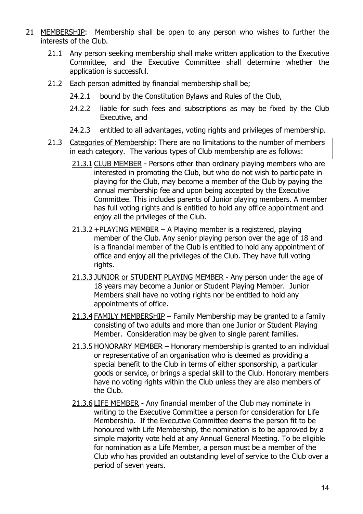- 21 MEMBERSHIP: Membership shall be open to any person who wishes to further the interests of the Club.
	- 21.1 Any person seeking membership shall make written application to the Executive Committee, and the Executive Committee shall determine whether the application is successful.
	- 21.2 Each person admitted by financial membership shall be;
		- 24.2.1 bound by the Constitution Bylaws and Rules of the Club,
		- 24.2.2 liable for such fees and subscriptions as may be fixed by the Club Executive, and
		- 24.2.3 entitled to all advantages, voting rights and privileges of membership.
	- 21.3 Categories of Membership: There are no limitations to the number of members in each category. The various types of Club membership are as follows:
		- 21.3.1 CLUB MEMBER Persons other than ordinary playing members who are interested in promoting the Club, but who do not wish to participate in playing for the Club, may become a member of the Club by paying the annual membership fee and upon being accepted by the Executive Committee. This includes parents of Junior playing members. A member has full voting rights and is entitled to hold any office appointment and enjoy all the privileges of the Club.
		- $21.3.2 + PLAYING MEMBER A$  Playing member is a registered, playing member of the Club. Any senior playing person over the age of 18 and is a financial member of the Club is entitled to hold any appointment of office and enjoy all the privileges of the Club. They have full voting rights.
		- 21.3.3 JUNIOR or STUDENT PLAYING MEMBER Any person under the age of 18 years may become a Junior or Student Playing Member. Junior Members shall have no voting rights nor be entitled to hold any appointments of office.
		- 21.3.4 FAMILY MEMBERSHIP Family Membership may be granted to a family consisting of two adults and more than one Junior or Student Playing Member. Consideration may be given to single parent families.
		- 21.3.5 HONORARY MEMBER Honorary membership is granted to an individual or representative of an organisation who is deemed as providing a special benefit to the Club in terms of either sponsorship, a particular goods or service, or brings a special skill to the Club. Honorary members have no voting rights within the Club unless they are also members of the Club.
		- 21.3.6 LIFE MEMBER Any financial member of the Club may nominate in writing to the Executive Committee a person for consideration for Life Membership. If the Executive Committee deems the person fit to be honoured with Life Membership, the nomination is to be approved by a simple majority vote held at any Annual General Meeting. To be eligible for nomination as a Life Member, a person must be a member of the Club who has provided an outstanding level of service to the Club over a period of seven years.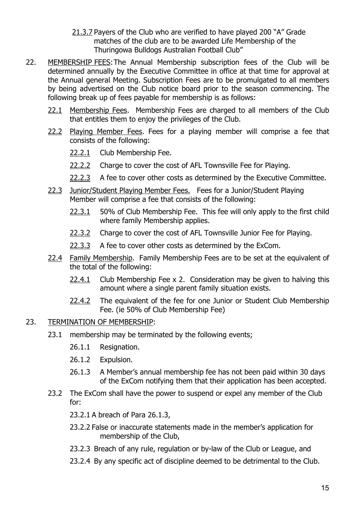- 21.3.7 Payers of the Club who are verified to have played 200 "A" Grade matches of the club are to be awarded Life Membership of the Thuringowa Bulldogs Australian Football Club"
- 22. MEMBERSHIP FEES: The Annual Membership subscription fees of the Club will be determined annually by the Executive Committee in office at that time for approval at the Annual general Meeting. Subscription Fees are to be promulgated to all members by being advertised on the Club notice board prior to the season commencing. The following break up of fees payable for membership is as follows:
	- 22.1 Membership Fees. Membership Fees are charged to all members of the Club that entitles them to enjoy the privileges of the Club.
	- 22.2 Playing Member Fees. Fees for a playing member will comprise a fee that consists of the following:
		- 22.2.1 Club Membership Fee.
		- 22.2.2 Charge to cover the cost of AFL Townsville Fee for Playing.
		- 22.2.3 A fee to cover other costs as determined by the Executive Committee.
	- 22.3 Junior/Student Playing Member Fees. Fees for a Junior/Student Playing Member will comprise a fee that consists of the following:
		- 22.3.1 50% of Club Membership Fee. This fee will only apply to the first child where family Membership applies.
		- 22.3.2 Charge to cover the cost of AFL Townsville Junior Fee for Playing.
		- 22.3.3 A fee to cover other costs as determined by the ExCom.
	- 22.4 Family Membership. Family Membership Fees are to be set at the equivalent of the total of the following:
		- 22.4.1 Club Membership Fee x 2. Consideration may be given to halving this amount where a single parent family situation exists.
		- 22.4.2 The equivalent of the fee for one Junior or Student Club Membership Fee. (ie 50% of Club Membership Fee)

#### 23. TERMINATION OF MEMBERSHIP:

- 23.1 membership may be terminated by the following events;
	- 26.1.1 Resignation.
	- 26.1.2 Expulsion.
	- 26.1.3 A Member's annual membership fee has not been paid within 30 days of the ExCom notifying them that their application has been accepted.
- 23.2 The ExCom shall have the power to suspend or expel any member of the Club for:
	- 23.2.1 A breach of Para 26.1.3,
	- 23.2.2 False or inaccurate statements made in the member's application for membership of the Club,
	- 23.2.3 Breach of any rule, regulation or by-law of the Club or League, and
	- 23.2.4 By any specific act of discipline deemed to be detrimental to the Club.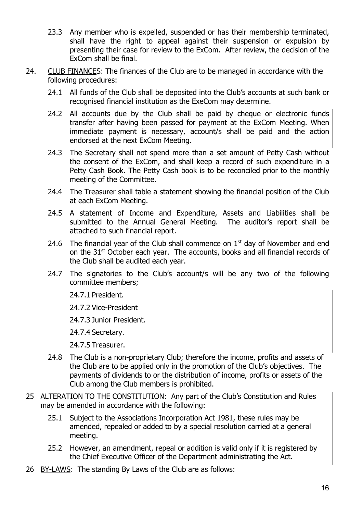- 23.3 Any member who is expelled, suspended or has their membership terminated, shall have the right to appeal against their suspension or expulsion by presenting their case for review to the ExCom. After review, the decision of the ExCom shall be final.
- 24. CLUB FINANCES: The finances of the Club are to be managed in accordance with the following procedures:
	- 24.1 All funds of the Club shall be deposited into the Club's accounts at such bank or recognised financial institution as the ExeCom may determine.
	- 24.2 All accounts due by the Club shall be paid by cheque or electronic funds transfer after having been passed for payment at the ExCom Meeting. When immediate payment is necessary, account/s shall be paid and the action endorsed at the next ExCom Meeting.
	- 24.3 The Secretary shall not spend more than a set amount of Petty Cash without the consent of the ExCom, and shall keep a record of such expenditure in a Petty Cash Book. The Petty Cash book is to be reconciled prior to the monthly meeting of the Committee.
	- 24.4 The Treasurer shall table a statement showing the financial position of the Club at each ExCom Meeting.
	- 24.5 A statement of Income and Expenditure, Assets and Liabilities shall be submitted to the Annual General Meeting. The auditor's report shall be attached to such financial report.
	- 24.6 The financial year of the Club shall commence on  $1<sup>st</sup>$  day of November and end on the 31<sup>st</sup> October each year. The accounts, books and all financial records of the Club shall be audited each year.
	- 24.7 The signatories to the Club's account/s will be any two of the following committee members;

24.7.1 President.

24.7.2 Vice-President

24.7.3 Junior President.

24.7.4 Secretary.

24.7.5 Treasurer.

- 24.8 The Club is a non-proprietary Club; therefore the income, profits and assets of the Club are to be applied only in the promotion of the Club's objectives. The payments of dividends to or the distribution of income, profits or assets of the Club among the Club members is prohibited.
- 25 ALTERATION TO THE CONSTITUTION: Any part of the Club's Constitution and Rules may be amended in accordance with the following:
	- 25.1 Subject to the Associations Incorporation Act 1981, these rules may be amended, repealed or added to by a special resolution carried at a general meeting.
	- 25.2 However, an amendment, repeal or addition is valid only if it is registered by the Chief Executive Officer of the Department administrating the Act.
- 26 BY-LAWS: The standing By Laws of the Club are as follows: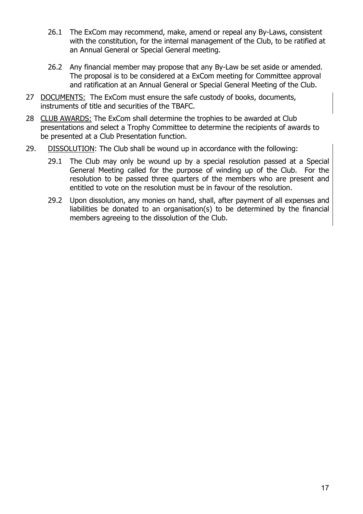- 26.1 The ExCom may recommend, make, amend or repeal any By-Laws, consistent with the constitution, for the internal management of the Club, to be ratified at an Annual General or Special General meeting.
- 26.2 Any financial member may propose that any By-Law be set aside or amended. The proposal is to be considered at a ExCom meeting for Committee approval and ratification at an Annual General or Special General Meeting of the Club.
- 27 DOCUMENTS: The ExCom must ensure the safe custody of books, documents, instruments of title and securities of the TBAFC.
- 28 CLUB AWARDS: The ExCom shall determine the trophies to be awarded at Club presentations and select a Trophy Committee to determine the recipients of awards to be presented at a Club Presentation function.
- 29. DISSOLUTION: The Club shall be wound up in accordance with the following:
	- 29.1 The Club may only be wound up by a special resolution passed at a Special General Meeting called for the purpose of winding up of the Club. For the resolution to be passed three quarters of the members who are present and entitled to vote on the resolution must be in favour of the resolution.
	- 29.2 Upon dissolution, any monies on hand, shall, after payment of all expenses and liabilities be donated to an organisation(s) to be determined by the financial members agreeing to the dissolution of the Club.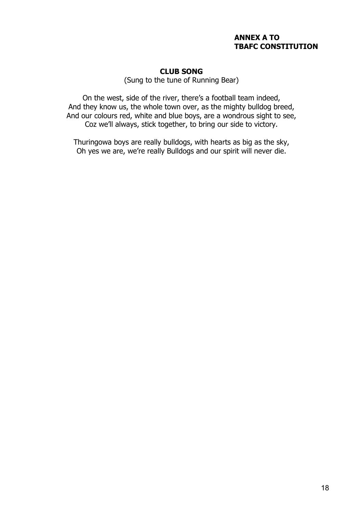#### **ANNEX A TO TBAFC CONSTITUTION**

### **CLUB SONG**

(Sung to the tune of Running Bear)

On the west, side of the river, there's a football team indeed, And they know us, the whole town over, as the mighty bulldog breed, And our colours red, white and blue boys, are a wondrous sight to see, Coz we'll always, stick together, to bring our side to victory.

Thuringowa boys are really bulldogs, with hearts as big as the sky, Oh yes we are, we're really Bulldogs and our spirit will never die.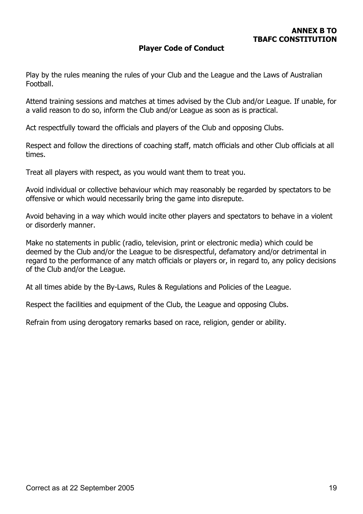### **Player Code of Conduct**

Play by the rules meaning the rules of your Club and the League and the Laws of Australian Football.

Attend training sessions and matches at times advised by the Club and/or League. If unable, for a valid reason to do so, inform the Club and/or League as soon as is practical.

Act respectfully toward the officials and players of the Club and opposing Clubs.

Respect and follow the directions of coaching staff, match officials and other Club officials at all times.

Treat all players with respect, as you would want them to treat you.

Avoid individual or collective behaviour which may reasonably be regarded by spectators to be offensive or which would necessarily bring the game into disrepute.

Avoid behaving in a way which would incite other players and spectators to behave in a violent or disorderly manner.

Make no statements in public (radio, television, print or electronic media) which could be deemed by the Club and/or the League to be disrespectful, defamatory and/or detrimental in regard to the performance of any match officials or players or, in regard to, any policy decisions of the Club and/or the League.

At all times abide by the By-Laws, Rules & Regulations and Policies of the League.

Respect the facilities and equipment of the Club, the League and opposing Clubs.

Refrain from using derogatory remarks based on race, religion, gender or ability.